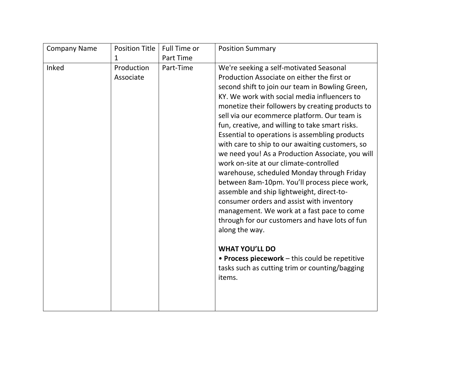| <b>Company Name</b> | <b>Position Title</b>   | Full Time or | <b>Position Summary</b>                                                                                                                                                                                                                                                                                                                                                                                                                                                                                                                                                                                                                                                                                                                                                                                                                                       |
|---------------------|-------------------------|--------------|---------------------------------------------------------------------------------------------------------------------------------------------------------------------------------------------------------------------------------------------------------------------------------------------------------------------------------------------------------------------------------------------------------------------------------------------------------------------------------------------------------------------------------------------------------------------------------------------------------------------------------------------------------------------------------------------------------------------------------------------------------------------------------------------------------------------------------------------------------------|
|                     | 1                       | Part Time    |                                                                                                                                                                                                                                                                                                                                                                                                                                                                                                                                                                                                                                                                                                                                                                                                                                                               |
| Inked               | Production<br>Associate | Part-Time    | We're seeking a self-motivated Seasonal<br>Production Associate on either the first or<br>second shift to join our team in Bowling Green,<br>KY. We work with social media influencers to<br>monetize their followers by creating products to<br>sell via our ecommerce platform. Our team is<br>fun, creative, and willing to take smart risks.<br>Essential to operations is assembling products<br>with care to ship to our awaiting customers, so<br>we need you! As a Production Associate, you will<br>work on-site at our climate-controlled<br>warehouse, scheduled Monday through Friday<br>between 8am-10pm. You'll process piece work,<br>assemble and ship lightweight, direct-to-<br>consumer orders and assist with inventory<br>management. We work at a fast pace to come<br>through for our customers and have lots of fun<br>along the way. |
|                     |                         |              | <b>WHAT YOU'LL DO</b><br>• Process piecework – this could be repetitive<br>tasks such as cutting trim or counting/bagging<br>items.                                                                                                                                                                                                                                                                                                                                                                                                                                                                                                                                                                                                                                                                                                                           |